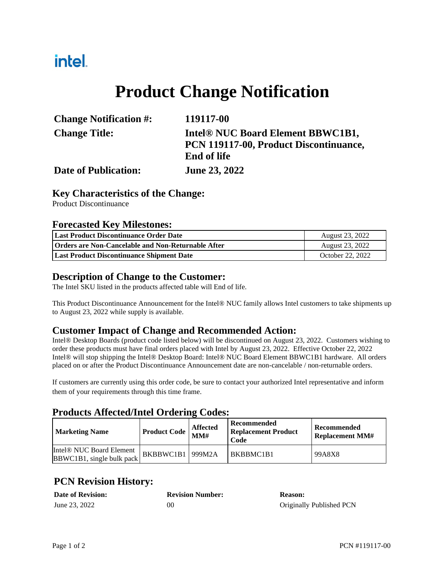# intel.

# **Product Change Notification**

| <b>Change Notification #:</b> | 119117-00                                     |
|-------------------------------|-----------------------------------------------|
| <b>Change Title:</b>          | Intel <sup>®</sup> NUC Board Element BBWC1B1, |
|                               | PCN 119117-00, Product Discontinuance,        |
|                               | <b>End of life</b>                            |
| <b>Date of Publication:</b>   | <b>June 23, 2022</b>                          |

### **Key Characteristics of the Change:**

Product Discontinuance

#### **Forecasted Key Milestones:**

| Last Product Discontinuance Order Date                    | August 23, 2022  |
|-----------------------------------------------------------|------------------|
| <b>Orders are Non-Cancelable and Non-Returnable After</b> | August 23, 2022  |
| Last Product Discontinuance Shipment Date                 | October 22, 2022 |

#### **Description of Change to the Customer:**

The Intel SKU listed in the products affected table will End of life.

This Product Discontinuance Announcement for the Intel® NUC family allows Intel customers to take shipments up to August 23, 2022 while supply is available.

### **Customer Impact of Change and Recommended Action:**

Intel® Desktop Boards (product code listed below) will be discontinued on August 23, 2022. Customers wishing to order these products must have final orders placed with Intel by August 23, 2022. Effective October 22, 2022 Intel® will stop shipping the Intel® Desktop Board: Intel® NUC Board Element BBWC1B1 hardware. All orders placed on or after the Product Discontinuance Announcement date are non-cancelable / non-returnable orders.

If customers are currently using this order code, be sure to contact your authorized Intel representative and inform them of your requirements through this time frame.

### **Products Affected/Intel Ordering Codes:**

| <b>Marketing Name</b>                                             | Product Code $\vert$ MM# | <b>Affected</b> | Recommended<br><b>Replacement Product</b><br>Code | <b>Recommended</b><br><b>Replacement MM#</b> |
|-------------------------------------------------------------------|--------------------------|-----------------|---------------------------------------------------|----------------------------------------------|
| Intel <sup>®</sup> NUC Board Element<br>BBWC1B1, single bulk pack | BKBBWC1B1 999M2A         |                 | BKBBMC1B1                                         | 99A8X8                                       |

## **PCN Revision History:**

| <b>Date of Revision:</b> | <b>Revision Number:</b> | <b>Reason:</b>           |
|--------------------------|-------------------------|--------------------------|
| June 23, 2022            | 00                      | Originally Published PCN |